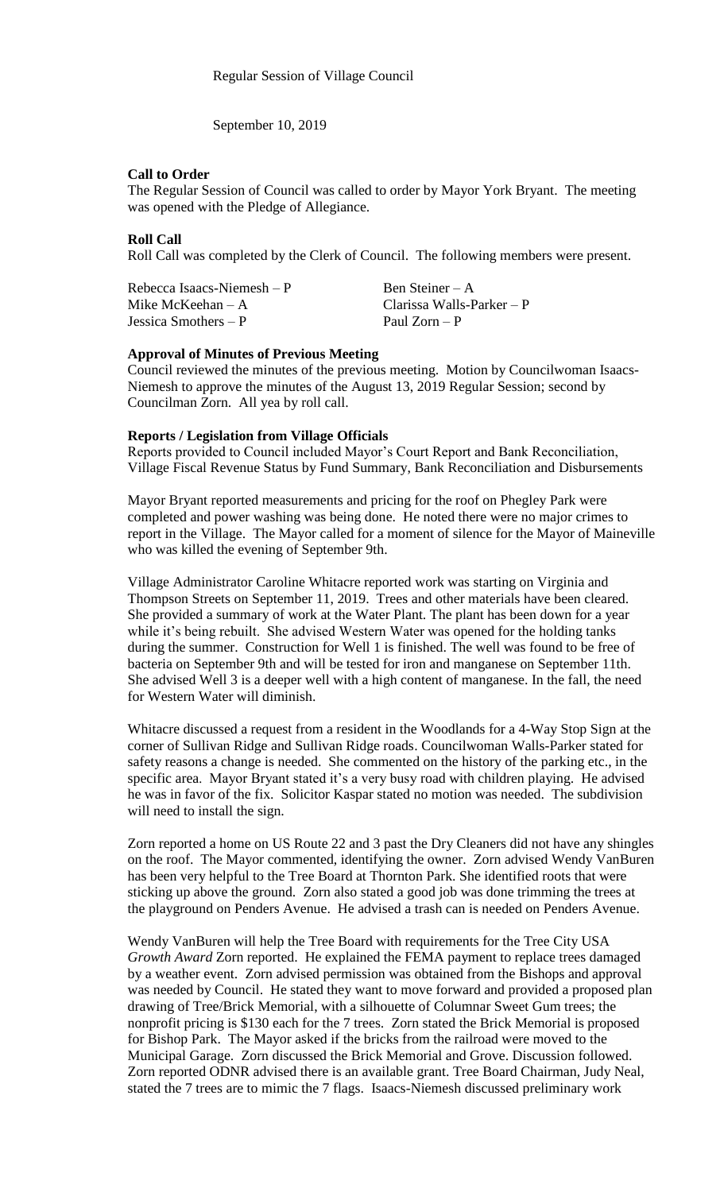September 10, 2019

### **Call to Order**

The Regular Session of Council was called to order by Mayor York Bryant. The meeting was opened with the Pledge of Allegiance.

# **Roll Call**

Roll Call was completed by the Clerk of Council. The following members were present.

| Rebecca Isaacs-Niemesh $-P$ | Ben Steiner – A             |
|-----------------------------|-----------------------------|
| Mike McKeehan $-A$          | Clarissa Walls-Parker $- P$ |
| Jessica Smothers $-P$       | Paul Zorn – P               |

#### **Approval of Minutes of Previous Meeting**

Council reviewed the minutes of the previous meeting. Motion by Councilwoman Isaacs-Niemesh to approve the minutes of the August 13, 2019 Regular Session; second by Councilman Zorn. All yea by roll call.

### **Reports / Legislation from Village Officials**

Reports provided to Council included Mayor's Court Report and Bank Reconciliation, Village Fiscal Revenue Status by Fund Summary, Bank Reconciliation and Disbursements

Mayor Bryant reported measurements and pricing for the roof on Phegley Park were completed and power washing was being done. He noted there were no major crimes to report in the Village. The Mayor called for a moment of silence for the Mayor of Maineville who was killed the evening of September 9th.

Village Administrator Caroline Whitacre reported work was starting on Virginia and Thompson Streets on September 11, 2019. Trees and other materials have been cleared. She provided a summary of work at the Water Plant. The plant has been down for a year while it's being rebuilt. She advised Western Water was opened for the holding tanks during the summer. Construction for Well 1 is finished. The well was found to be free of bacteria on September 9th and will be tested for iron and manganese on September 11th. She advised Well 3 is a deeper well with a high content of manganese. In the fall, the need for Western Water will diminish.

Whitacre discussed a request from a resident in the Woodlands for a 4-Way Stop Sign at the corner of Sullivan Ridge and Sullivan Ridge roads. Councilwoman Walls-Parker stated for safety reasons a change is needed. She commented on the history of the parking etc., in the specific area. Mayor Bryant stated it's a very busy road with children playing. He advised he was in favor of the fix. Solicitor Kaspar stated no motion was needed. The subdivision will need to install the sign.

Zorn reported a home on US Route 22 and 3 past the Dry Cleaners did not have any shingles on the roof. The Mayor commented, identifying the owner. Zorn advised Wendy VanBuren has been very helpful to the Tree Board at Thornton Park. She identified roots that were sticking up above the ground. Zorn also stated a good job was done trimming the trees at the playground on Penders Avenue. He advised a trash can is needed on Penders Avenue.

Wendy VanBuren will help the Tree Board with requirements for the Tree City USA *Growth Award* Zorn reported. He explained the FEMA payment to replace trees damaged by a weather event. Zorn advised permission was obtained from the Bishops and approval was needed by Council. He stated they want to move forward and provided a proposed plan drawing of Tree/Brick Memorial, with a silhouette of Columnar Sweet Gum trees; the nonprofit pricing is \$130 each for the 7 trees. Zorn stated the Brick Memorial is proposed for Bishop Park. The Mayor asked if the bricks from the railroad were moved to the Municipal Garage. Zorn discussed the Brick Memorial and Grove. Discussion followed. Zorn reported ODNR advised there is an available grant. Tree Board Chairman, Judy Neal, stated the 7 trees are to mimic the 7 flags. Isaacs-Niemesh discussed preliminary work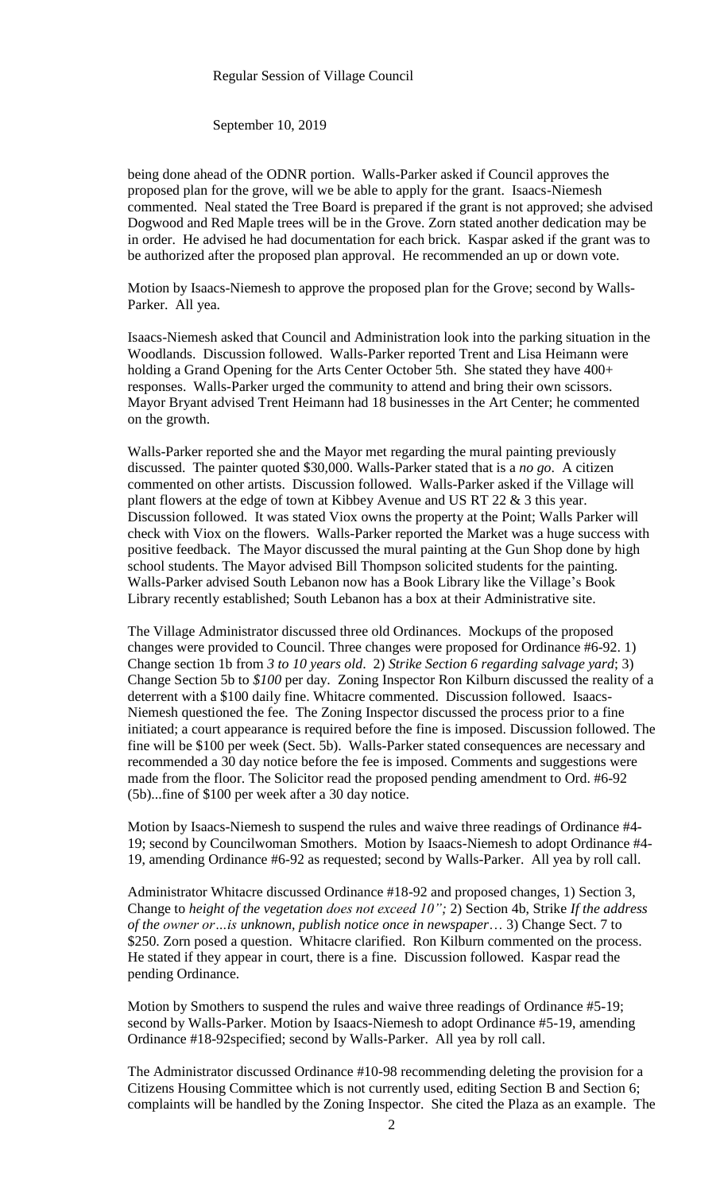#### Regular Session of Village Council

September 10, 2019

being done ahead of the ODNR portion. Walls-Parker asked if Council approves the proposed plan for the grove, will we be able to apply for the grant. Isaacs-Niemesh commented. Neal stated the Tree Board is prepared if the grant is not approved; she advised Dogwood and Red Maple trees will be in the Grove. Zorn stated another dedication may be in order. He advised he had documentation for each brick. Kaspar asked if the grant was to be authorized after the proposed plan approval. He recommended an up or down vote.

Motion by Isaacs-Niemesh to approve the proposed plan for the Grove; second by Walls-Parker. All yea.

Isaacs-Niemesh asked that Council and Administration look into the parking situation in the Woodlands. Discussion followed. Walls-Parker reported Trent and Lisa Heimann were holding a Grand Opening for the Arts Center October 5th. She stated they have  $400+$ responses. Walls-Parker urged the community to attend and bring their own scissors. Mayor Bryant advised Trent Heimann had 18 businesses in the Art Center; he commented on the growth.

Walls-Parker reported she and the Mayor met regarding the mural painting previously discussed. The painter quoted \$30,000. Walls-Parker stated that is a *no go*. A citizen commented on other artists. Discussion followed. Walls-Parker asked if the Village will plant flowers at the edge of town at Kibbey Avenue and US RT 22  $\&$  3 this year. Discussion followed. It was stated Viox owns the property at the Point; Walls Parker will check with Viox on the flowers. Walls-Parker reported the Market was a huge success with positive feedback. The Mayor discussed the mural painting at the Gun Shop done by high school students. The Mayor advised Bill Thompson solicited students for the painting. Walls-Parker advised South Lebanon now has a Book Library like the Village's Book Library recently established; South Lebanon has a box at their Administrative site.

The Village Administrator discussed three old Ordinances. Mockups of the proposed changes were provided to Council. Three changes were proposed for Ordinance #6-92. 1) Change section 1b from *3 to 10 years old*. 2) *Strike Section 6 regarding salvage yard*; 3) Change Section 5b to *\$100* per day. Zoning Inspector Ron Kilburn discussed the reality of a deterrent with a \$100 daily fine. Whitacre commented. Discussion followed. Isaacs-Niemesh questioned the fee. The Zoning Inspector discussed the process prior to a fine initiated; a court appearance is required before the fine is imposed. Discussion followed. The fine will be \$100 per week (Sect. 5b). Walls-Parker stated consequences are necessary and recommended a 30 day notice before the fee is imposed. Comments and suggestions were made from the floor. The Solicitor read the proposed pending amendment to Ord. #6-92 (5b)...fine of \$100 per week after a 30 day notice.

Motion by Isaacs-Niemesh to suspend the rules and waive three readings of Ordinance #4- 19; second by Councilwoman Smothers. Motion by Isaacs-Niemesh to adopt Ordinance #4- 19, amending Ordinance #6-92 as requested; second by Walls-Parker. All yea by roll call.

Administrator Whitacre discussed Ordinance #18-92 and proposed changes, 1) Section 3, Change to *height of the vegetation does not exceed 10";* 2) Section 4b, Strike *If the address of the owner or…is unknown, publish notice once in newspaper*… 3) Change Sect. 7 to \$250. Zorn posed a question. Whitacre clarified. Ron Kilburn commented on the process. He stated if they appear in court, there is a fine. Discussion followed. Kaspar read the pending Ordinance.

Motion by Smothers to suspend the rules and waive three readings of Ordinance #5-19; second by Walls-Parker. Motion by Isaacs-Niemesh to adopt Ordinance #5-19, amending Ordinance #18-92specified; second by Walls-Parker. All yea by roll call.

The Administrator discussed Ordinance #10-98 recommending deleting the provision for a Citizens Housing Committee which is not currently used, editing Section B and Section 6; complaints will be handled by the Zoning Inspector. She cited the Plaza as an example. The